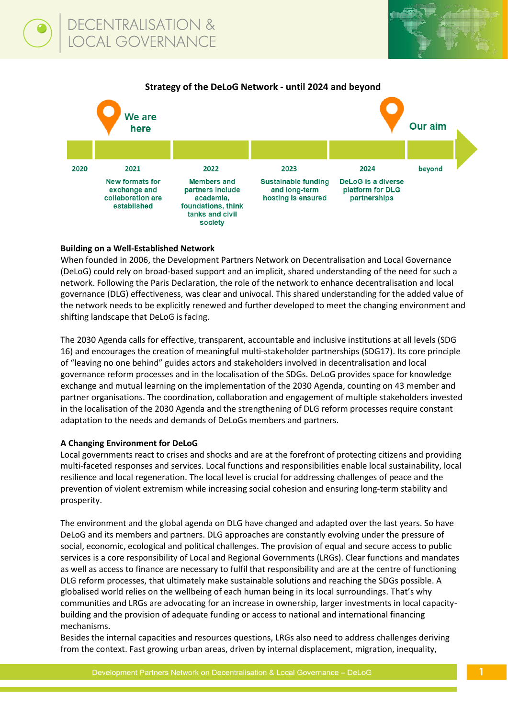

## **Building on a Well-Established Network**

When founded in 2006, the Development Partners Network on Decentralisation and Local Governance (DeLoG) could rely on broad-based support and an implicit, shared understanding of the need for such a network. Following the Paris Declaration, the role of the network to enhance decentralisation and local governance (DLG) effectiveness, was clear and univocal. This shared understanding for the added value of the network needs to be explicitly renewed and further developed to meet the changing environment and shifting landscape that DeLoG is facing.

The 2030 Agenda calls for effective, transparent, accountable and inclusive institutions at all levels (SDG 16) and encourages the creation of meaningful multi-stakeholder partnerships (SDG17). Its core principle of "leaving no one behind" guides actors and stakeholders involved in decentralisation and local governance reform processes and in the localisation of the SDGs. DeLoG provides space for knowledge exchange and mutual learning on the implementation of the 2030 Agenda, counting on 43 member and partner organisations. The coordination, collaboration and engagement of multiple stakeholders invested in the localisation of the 2030 Agenda and the strengthening of DLG reform processes require constant adaptation to the needs and demands of DeLoGs members and partners.

### **A Changing Environment for DeLoG**

Local governments react to crises and shocks and are at the forefront of protecting citizens and providing multi-faceted responses and services. Local functions and responsibilities enable local sustainability, local resilience and local regeneration. The local level is crucial for addressing challenges of peace and the prevention of violent extremism while increasing social cohesion and ensuring long-term stability and prosperity.

The environment and the global agenda on DLG have changed and adapted over the last years. So have DeLoG and its members and partners. DLG approaches are constantly evolving under the pressure of social, economic, ecological and political challenges. The provision of equal and secure access to public services is a core responsibility of Local and Regional Governments (LRGs). Clear functions and mandates as well as access to finance are necessary to fulfil that responsibility and are at the centre of functioning DLG reform processes, that ultimately make sustainable solutions and reaching the SDGs possible. A globalised world relies on the wellbeing of each human being in its local surroundings. That's why communities and LRGs are advocating for an increase in ownership, larger investments in local capacitybuilding and the provision of adequate funding or access to national and international financing mechanisms.

Besides the internal capacities and resources questions, LRGs also need to address challenges deriving from the context. Fast growing urban areas, driven by internal displacement, migration, inequality,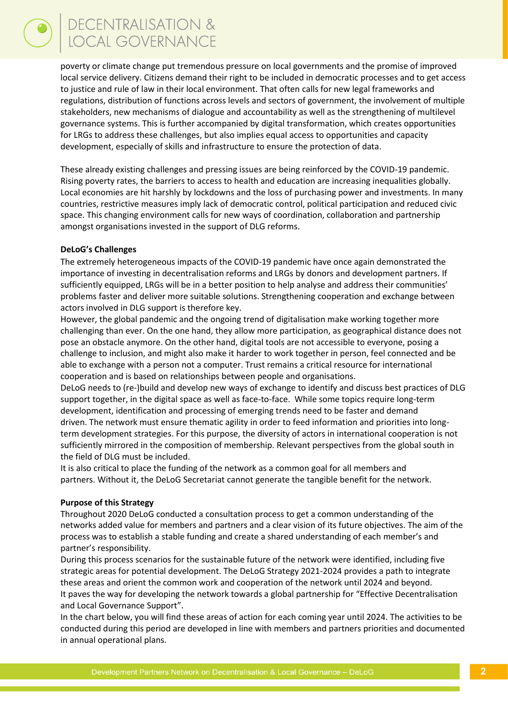poverty or climate change put tremendous pressure on local governments and the promise of improved local service delivery. Citizens demand their right to be included in democratic processes and to get access to justice and rule of law in their local environment. That often calls for new legal frameworks and regulations, distribution of functions across levels and sectors of government, the involvement of multiple stakeholders, new mechanisms of dialogue and accountability as well as the strengthening of multilevel governance systems. This is further accompanied by digital transformation, which creates opportunities for LRGs to address these challenges, but also implies equal access to opportunities and capacity development, especially of skills and infrastructure to ensure the protection of data.

These already existing challenges and pressing issues are being reinforced by the COVID-19 pandemic. Rising poverty rates, the barriers to access to health and education are increasing inequalities globally. Local economies are hit harshly by lockdowns and the loss of purchasing power and investments. In many countries, restrictive measures imply lack of democratic control, political participation and reduced civic space. This changing environment calls for new ways of coordination, collaboration and partnership amongst organisations invested in the support of DLG reforms.

### **DeLoG's Challenges**

The extremely heterogeneous impacts of the COVID-19 pandemic have once again demonstrated the importance of investing in decentralisation reforms and LRGs by donors and development partners. If sufficiently equipped, LRGs will be in a better position to help analyse and address their communities' problems faster and deliver more suitable solutions. Strengthening cooperation and exchange between actors involved in DLG support is therefore key.

However, the global pandemic and the ongoing trend of digitalisation make working together more challenging than ever. On the one hand, they allow more participation, as geographical distance does not pose an obstacle anymore. On the other hand, digital tools are not accessible to everyone, posing a challenge to inclusion, and might also make it harder to work together in person, feel connected and be able to exchange with a person not a computer. Trust remains a critical resource for international cooperation and is based on relationships between people and organisations.

DeLoG needs to (re-)build and develop new ways of exchange to identify and discuss best practices of DLG support together, in the digital space as well as face-to-face. While some topics require long-term development, identification and processing of emerging trends need to be faster and demand driven. The network must ensure thematic agility in order to feed information and priorities into longterm development strategies. For this purpose, the diversity of actors in international cooperation is not sufficiently mirrored in the composition of membership. Relevant perspectives from the global south in the field of DLG must be included.

It is also critical to place the funding of the network as a common goal for all members and partners. Without it, the DeLoG Secretariat cannot generate the tangible benefit for the network.

#### **Purpose of this Strategy**

Throughout 2020 DeLoG conducted a consultation process to get a common understanding of the networks added value for members and partners and a clear vision of its future objectives. The aim of the process was to establish a stable funding and create a shared understanding of each member's and partner's responsibility.

During this process scenarios for the sustainable future of the network were identified, including five strategic areas for potential development. The DeLoG Strategy 2021-2024 provides a path to integrate these areas and orient the common work and cooperation of the network until 2024 and beyond. It paves the way for developing the network towards a global partnership for "Effective Decentralisation and Local Governance Support".

In the chart below, you will find these areas of action for each coming year until 2024. The activities to be conducted during this period are developed in line with members and partners priorities and documented in annual operational plans.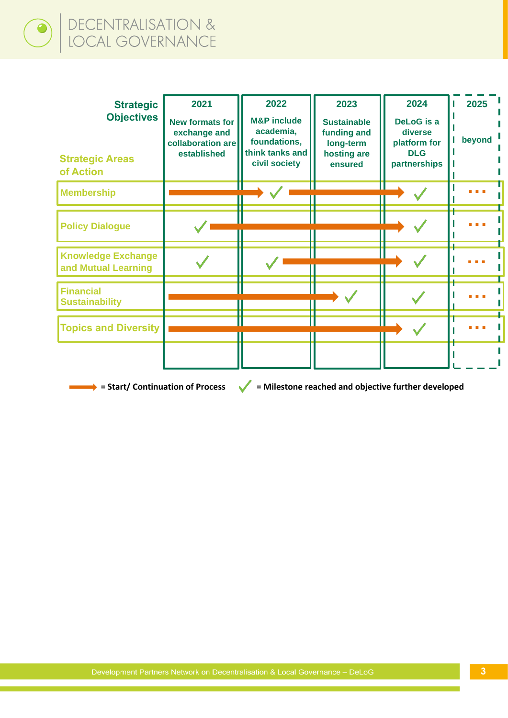# DECENTRALISATION &<br>LOCAL GOVERNANCE  $\bigodot$

| <b>Strategic</b><br><b>Objectives</b><br><b>Strategic Areas</b><br>of Action | 2021<br><b>New formats for</b><br>exchange and<br>collaboration are<br>established | 2022<br><b>M&amp;P</b> include<br>academia,<br>foundations,<br>think tanks and<br>civil society | 2023<br><b>Sustainable</b><br>funding and<br>long-term<br>hosting are<br>ensured | 2024<br><b>DeLoG</b> is a<br>diverse<br>platform for<br><b>DLG</b><br>partnerships | 2025<br>beyond |
|------------------------------------------------------------------------------|------------------------------------------------------------------------------------|-------------------------------------------------------------------------------------------------|----------------------------------------------------------------------------------|------------------------------------------------------------------------------------|----------------|
| <b>Membership</b>                                                            |                                                                                    |                                                                                                 |                                                                                  |                                                                                    |                |
| <b>Policy Dialogue</b>                                                       |                                                                                    |                                                                                                 |                                                                                  |                                                                                    |                |
| <b>Knowledge Exchange</b><br>and Mutual Learning                             |                                                                                    |                                                                                                 |                                                                                  |                                                                                    |                |
| <b>Financial</b><br><b>Sustainability</b>                                    |                                                                                    |                                                                                                 |                                                                                  |                                                                                    |                |
| <b>Topics and Diversity</b>                                                  |                                                                                    |                                                                                                 |                                                                                  |                                                                                    |                |
|                                                                              |                                                                                    |                                                                                                 |                                                                                  |                                                                                    |                |

 $\rightarrow$  **= Start/ Continuation of Process**  $\rightarrow$  = Milestone reached and objective further developed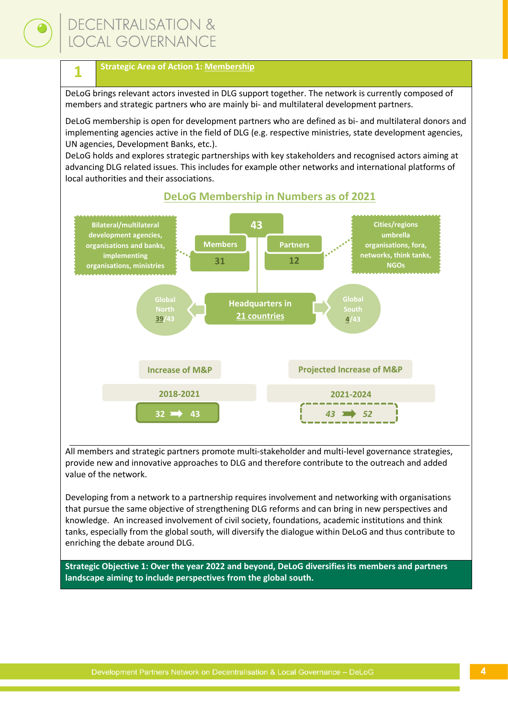## **DECENTRALISATION &** *OCAL GOVERNANCE*

## **Strategic Area of Action 1: Membership**

DeLoG brings relevant actors invested in DLG support together. The network is currently composed of members and strategic partners who are mainly bi- and multilateral development partners.

DeLoG membership is open for development partners who are defined as bi- and multilateral donors and implementing agencies active in the field of DLG (e.g. respective ministries, state development agencies, UN agencies, Development Banks, etc.).

DeLoG holds and explores strategic partnerships with key stakeholders and recognised actors aiming at advancing DLG related issues. This includes for example other networks and international platforms of local authorities and their associations.



## **DeLoG Membership in Numbers as of 2021**

All members and strategic partners promote multi-stakeholder and multi-level governance strategies, provide new and innovative approaches to DLG and therefore contribute to the outreach and added value of the network.

Developing from a network to a partnership requires involvement and networking with organisations that pursue the same objective of strengthening DLG reforms and can bring in new perspectives and knowledge. An increased involvement of civil society, foundations, academic institutions and think tanks, especially from the global south, will diversify the dialogue within DeLoG and thus contribute to enriching the debate around DLG.

**Strategic Objective 1: Over the year 2022 and beyond, DeLoG diversifies its members and partners landscape aiming to include perspectives from the global south.**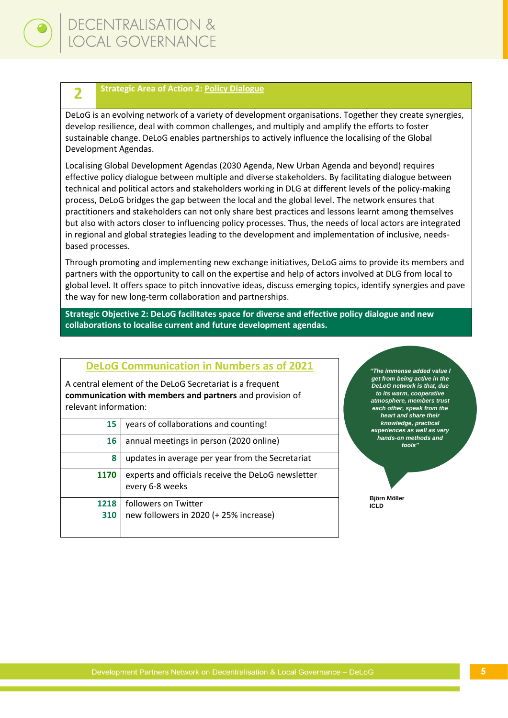

## **Strategic Area of Action 2: Policy Dialogue**

DeLoG is an evolving network of a variety of development organisations. Together they create synergies, develop resilience, deal with common challenges, and multiply and amplify the efforts to foster sustainable change. DeLoG enables partnerships to actively influence the localising of the Global Development Agendas.

Localising Global Development Agendas (2030 Agenda, New Urban Agenda and beyond) requires effective policy dialogue between multiple and diverse stakeholders. By facilitating dialogue between technical and political actors and stakeholders working in DLG at different levels of the policy-making process, DeLoG bridges the gap between the local and the global level. The network ensures that practitioners and stakeholders can not only share best practices and lessons learnt among themselves but also with actors closer to influencing policy processes. Thus, the needs of local actors are integrated in regional and global strategies leading to the development and implementation of inclusive, needsbased processes.

Through promoting and implementing new exchange initiatives, DeLoG aims to provide its members and partners with the opportunity to call on the expertise and help of actors involved at DLG from local to global level. It offers space to pitch innovative ideas, discuss emerging topics, identify synergies and pave the way for new long-term collaboration and partnerships.

**Strategic Objective 2: DeLoG facilitates space for diverse and effective policy dialogue and new collaborations to localise current and future development agendas.** 

## **DeLoG Communication in Numbers as of 2021**

A central element of the DeLoG Secretariat is a frequent **communication with members and partners** and provision of relevant information:

| 15   | years of collaborations and counting!                                 |
|------|-----------------------------------------------------------------------|
| 16   | annual meetings in person (2020 online)                               |
| 8    | updates in average per year from the Secretariat                      |
| 1170 | experts and officials receive the DeLoG newsletter<br>every 6-8 weeks |
| 1218 | followers on Twitter                                                  |
| 310  | new followers in 2020 (+ 25% increase)                                |

*"The immense added value I get from being active in the DeLoG network is that, due to its warm, cooperative atmosphere, members trust each other, speak from the heart and share their knowledge, practical experiences as well as very hands-on methods and tools"*

**Björn Möller ICLD**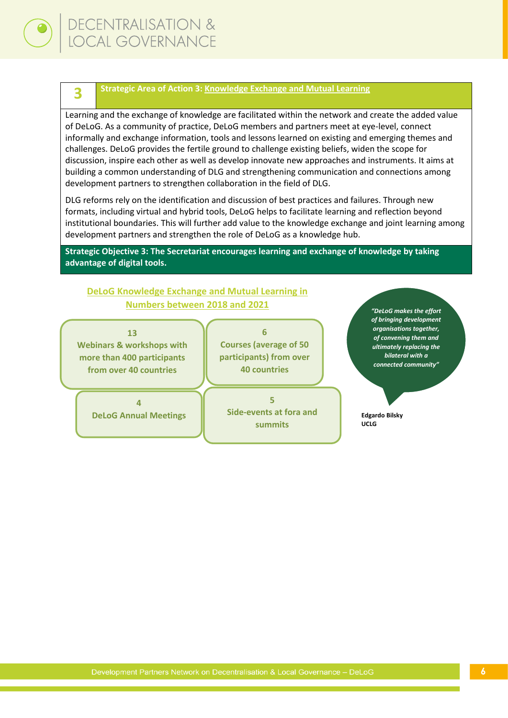

#### **Strategic Area of Action 3: Knowledge Exchange and Mutual Learning**

Learning and the exchange of knowledge are facilitated within the network and create the added value of DeLoG. As a community of practice, DeLoG members and partners meet at eye-level, connect informally and exchange information, tools and lessons learned on existing and emerging themes and challenges. DeLoG provides the fertile ground to challenge existing beliefs, widen the scope for discussion, inspire each other as well as develop innovate new approaches and instruments. It aims at building a common understanding of DLG and strengthening communication and connections among development partners to strengthen collaboration in the field of DLG.

DLG reforms rely on the identification and discussion of best practices and failures. Through new formats, including virtual and hybrid tools, DeLoG helps to facilitate learning and reflection beyond institutional boundaries. This will further add value to the knowledge exchange and joint learning among development partners and strengthen the role of DeLoG as a knowledge hub.

**Strategic Objective 3: The Secretariat encourages learning and exchange of knowledge by taking advantage of digital tools.**

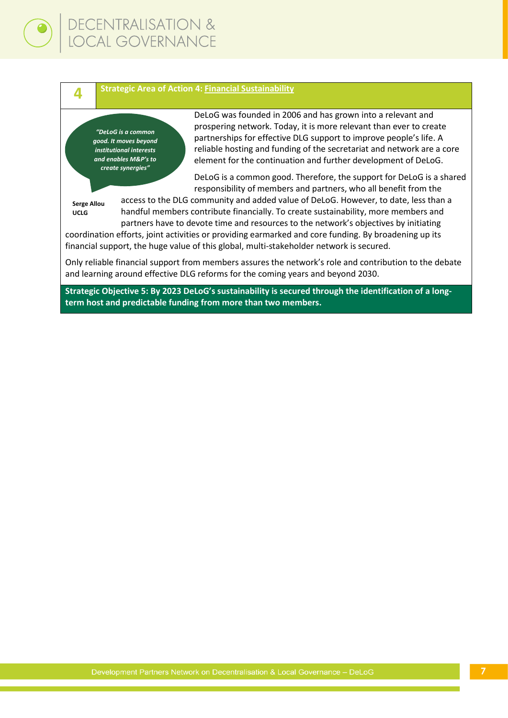#### **Strategic Area of Action 4: Financial Sustainability**

*"DeLoG is a common good. It moves beyond institutional interests and enables M&P's to create synergies"*

DeLoG was founded in 2006 and has grown into a relevant and prospering network. Today, it is more relevant than ever to create partnerships for effective DLG support to improve people's life. A reliable hosting and funding of the secretariat and network are a core element for the continuation and further development of DeLoG.

DeLoG is a common good. Therefore, the support for DeLoG is a shared responsibility of members and partners, who all benefit from the

**Serge Allou UCLG**

**4**

access to the DLG community and added value of DeLoG. However, to date, less than a handful members contribute financially. To create sustainability, more members and partners have to devote time and resources to the network's objectives by initiating

coordination efforts, joint activities or providing earmarked and core funding. By broadening up its financial support, the huge value of this global, multi-stakeholder network is secured.

Only reliable financial support from members assures the network's role and contribution to the debate and learning around effective DLG reforms for the coming years and beyond 2030.

**Strategic Objective 5: By 2023 DeLoG's sustainability is secured through the identification of a longterm host and predictable funding from more than two members.**